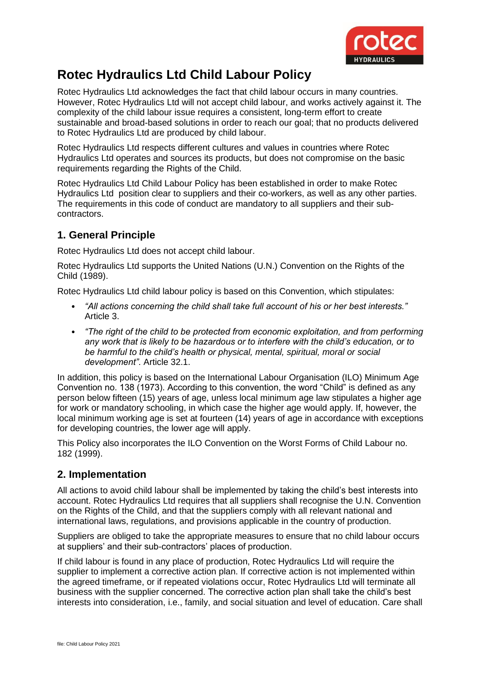

# **Rotec Hydraulics Ltd Child Labour Policy**

Rotec Hydraulics Ltd acknowledges the fact that child labour occurs in many countries. However, Rotec Hydraulics Ltd will not accept child labour, and works actively against it. The complexity of the child labour issue requires a consistent, long-term effort to create sustainable and broad-based solutions in order to reach our goal; that no products delivered to Rotec Hydraulics Ltd are produced by child labour.

Rotec Hydraulics Ltd respects different cultures and values in countries where Rotec Hydraulics Ltd operates and sources its products, but does not compromise on the basic requirements regarding the Rights of the Child.

Rotec Hydraulics Ltd Child Labour Policy has been established in order to make Rotec Hydraulics Ltd position clear to suppliers and their co-workers, as well as any other parties. The requirements in this code of conduct are mandatory to all suppliers and their subcontractors.

# **1. General Principle**

Rotec Hydraulics Ltd does not accept child labour.

Rotec Hydraulics Ltd supports the United Nations (U.N.) Convention on the Rights of the Child (1989).

Rotec Hydraulics Ltd child labour policy is based on this Convention, which stipulates:

- *"All actions concerning the child shall take full account of his or her best interests."* Article 3.
- *"The right of the child to be protected from economic exploitation, and from performing any work that is likely to be hazardous or to interfere with the child's education, or to be harmful to the child's health or physical, mental, spiritual, moral or social development".* Article 32.1.

In addition, this policy is based on the International Labour Organisation (ILO) Minimum Age Convention no. 138 (1973). According to this convention, the word "Child" is defined as any person below fifteen (15) years of age, unless local minimum age law stipulates a higher age for work or mandatory schooling, in which case the higher age would apply. If, however, the local minimum working age is set at fourteen (14) years of age in accordance with exceptions for developing countries, the lower age will apply.

This Policy also incorporates the ILO Convention on the Worst Forms of Child Labour no. 182 (1999).

# **2. Implementation**

All actions to avoid child labour shall be implemented by taking the child's best interests into account. Rotec Hydraulics Ltd requires that all suppliers shall recognise the U.N. Convention on the Rights of the Child, and that the suppliers comply with all relevant national and international laws, regulations, and provisions applicable in the country of production.

Suppliers are obliged to take the appropriate measures to ensure that no child labour occurs at suppliers' and their sub-contractors' places of production.

If child labour is found in any place of production, Rotec Hydraulics Ltd will require the supplier to implement a corrective action plan. If corrective action is not implemented within the agreed timeframe, or if repeated violations occur, Rotec Hydraulics Ltd will terminate all business with the supplier concerned. The corrective action plan shall take the child's best interests into consideration, i.e., family, and social situation and level of education. Care shall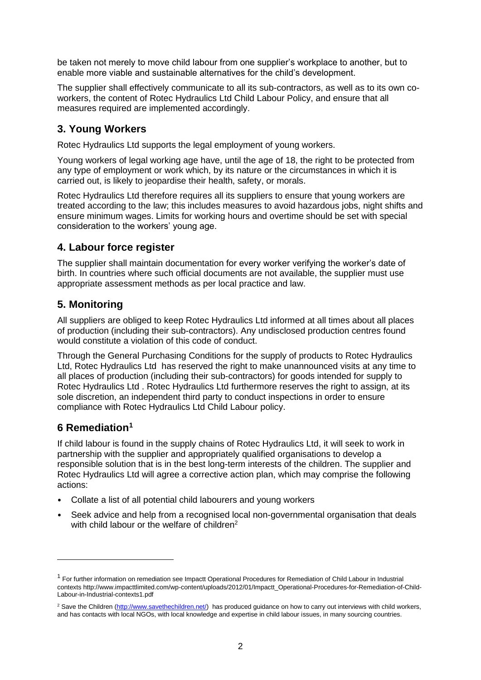be taken not merely to move child labour from one supplier's workplace to another, but to enable more viable and sustainable alternatives for the child's development.

The supplier shall effectively communicate to all its sub-contractors, as well as to its own coworkers, the content of Rotec Hydraulics Ltd Child Labour Policy, and ensure that all measures required are implemented accordingly.

# **3. Young Workers**

Rotec Hydraulics Ltd supports the legal employment of young workers.

Young workers of legal working age have, until the age of 18, the right to be protected from any type of employment or work which, by its nature or the circumstances in which it is carried out, is likely to jeopardise their health, safety, or morals.

Rotec Hydraulics Ltd therefore requires all its suppliers to ensure that young workers are treated according to the law; this includes measures to avoid hazardous jobs, night shifts and ensure minimum wages. Limits for working hours and overtime should be set with special consideration to the workers' young age.

# **4. Labour force register**

The supplier shall maintain documentation for every worker verifying the worker's date of birth. In countries where such official documents are not available, the supplier must use appropriate assessment methods as per local practice and law.

# **5. Monitoring**

All suppliers are obliged to keep Rotec Hydraulics Ltd informed at all times about all places of production (including their sub-contractors). Any undisclosed production centres found would constitute a violation of this code of conduct.

Through the General Purchasing Conditions for the supply of products to Rotec Hydraulics Ltd, Rotec Hydraulics Ltd has reserved the right to make unannounced visits at any time to all places of production (including their sub-contractors) for goods intended for supply to Rotec Hydraulics Ltd . Rotec Hydraulics Ltd furthermore reserves the right to assign, at its sole discretion, an independent third party to conduct inspections in order to ensure compliance with Rotec Hydraulics Ltd Child Labour policy.

# **6 Remediation<sup>1</sup>**

If child labour is found in the supply chains of Rotec Hydraulics Ltd, it will seek to work in partnership with the supplier and appropriately qualified organisations to develop a responsible solution that is in the best long-term interests of the children. The supplier and Rotec Hydraulics Ltd will agree a corrective action plan, which may comprise the following actions:

- Collate a list of all potential child labourers and young workers
- Seek advice and help from a recognised local non-governmental organisation that deals with child labour or the welfare of children<sup>2</sup>

<sup>&</sup>lt;sup>1</sup> For further information on remediation see Impactt Operational Procedures for Remediation of Child Labour in Industrial contexts [http://www.impacttlimited.com/wp-content/uploads/2012/01/Impactt\\_Operational-Procedures-for-Remediation-of-Child-](http://www.impacttlimited.com/wp-content/uploads/2012/01/Impactt_Operational-Procedures-for-Remediation-of-Child-Labour-in-Industrial-contexts1.pdf)[Labour-in-Industrial-contexts1.pdf](http://www.impacttlimited.com/wp-content/uploads/2012/01/Impactt_Operational-Procedures-for-Remediation-of-Child-Labour-in-Industrial-contexts1.pdf)

<sup>&</sup>lt;sup>2</sup> Save the Children [\(http://www.savethechildren.net/\)](http://www.savethechildren.net/) has produced guidance on how to carry out interviews with child workers, and has contacts with local NGOs, with local knowledge and expertise in child labour issues, in many sourcing countries.